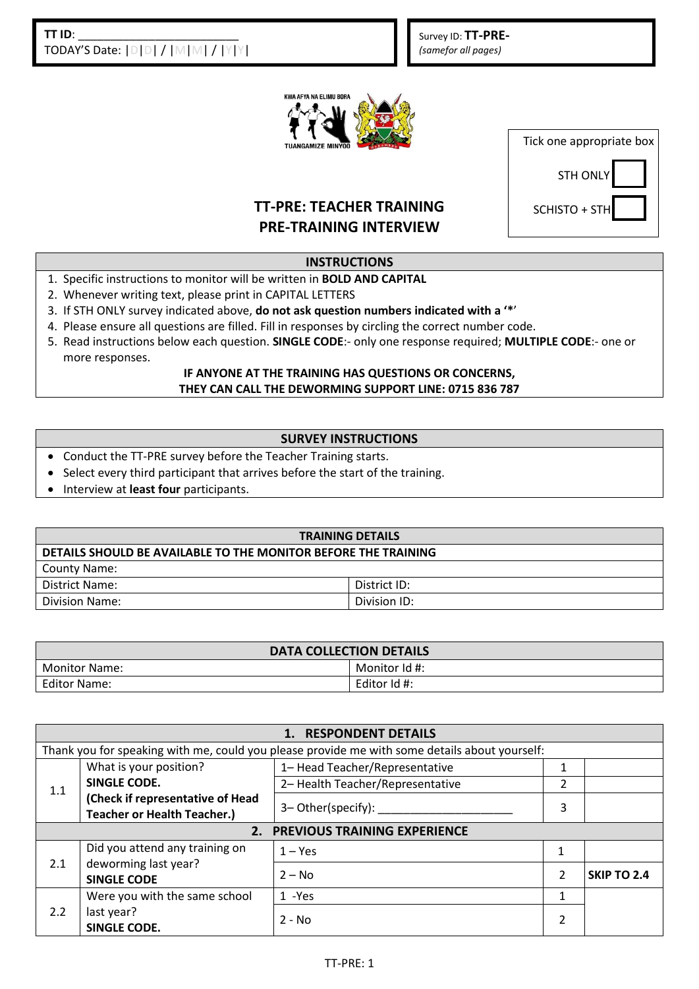Survey ID: **TT-PRE-** *(samefor all pages)* 



| Tick one appropriate box |
|--------------------------|
| <b>STH ONLY</b>          |
| SCHISTO + STH            |

# **TT-PRE: TEACHER TRAINING PRE-TRAINING INTERVIEW**

### **INSTRUCTIONS**

- 1. Specific instructions to monitor will be written in **BOLD AND CAPITAL**
- 2. Whenever writing text, please print in CAPITAL LETTERS
- 3. If STH ONLY survey indicated above, **do not ask question numbers indicated with a '\***'
- 4. Please ensure all questions are filled. Fill in responses by circling the correct number code.
- 5. Read instructions below each question. **SINGLE CODE**:- only one response required; **MULTIPLE CODE**:- one or more responses.

#### **IF ANYONE AT THE TRAINING HAS QUESTIONS OR CONCERNS, THEY CAN CALL THE DEWORMING SUPPORT LINE: 0715 836 787**

### **SURVEY INSTRUCTIONS**

- Conduct the TT-PRE survey before the Teacher Training starts.
- Select every third participant that arrives before the start of the training.
- **•** Interview at least four participants.

| <b>TRAINING DETAILS</b>                                        |              |  |  |
|----------------------------------------------------------------|--------------|--|--|
| DETAILS SHOULD BE AVAILABLE TO THE MONITOR BEFORE THE TRAINING |              |  |  |
| <b>County Name:</b>                                            |              |  |  |
| District Name:                                                 | District ID: |  |  |
| Division Name:                                                 | Division ID: |  |  |

| <b>DATA COLLECTION DETAILS</b> |               |  |  |
|--------------------------------|---------------|--|--|
| <b>Monitor Name:</b>           | Monitor Id #: |  |  |
| Editor Name:                   | Editor Id #:  |  |  |

| 1. RESPONDENT DETAILS           |                                                                                               |                                  |               |             |
|---------------------------------|-----------------------------------------------------------------------------------------------|----------------------------------|---------------|-------------|
|                                 | Thank you for speaking with me, could you please provide me with some details about yourself: |                                  |               |             |
| 1.1                             | What is your position?                                                                        | 1- Head Teacher/Representative   |               |             |
|                                 | <b>SINGLE CODE.</b>                                                                           | 2- Health Teacher/Representative | 2             |             |
|                                 | (Check if representative of Head<br><b>Teacher or Health Teacher.)</b>                        | 3– Other(specify):               | 3             |             |
| 2. PREVIOUS TRAINING EXPERIENCE |                                                                                               |                                  |               |             |
| 2.1                             | Did you attend any training on                                                                | $1 - Yes$                        | 1             |             |
|                                 | deworming last year?<br><b>SINGLE CODE</b>                                                    | $2 - No$                         | $\mathcal{P}$ | SKIP TO 2.4 |
| 2.2                             | Were you with the same school                                                                 | 1 -Yes                           |               |             |
|                                 | last year?<br><b>SINGLE CODE.</b>                                                             | $2 - No$                         |               |             |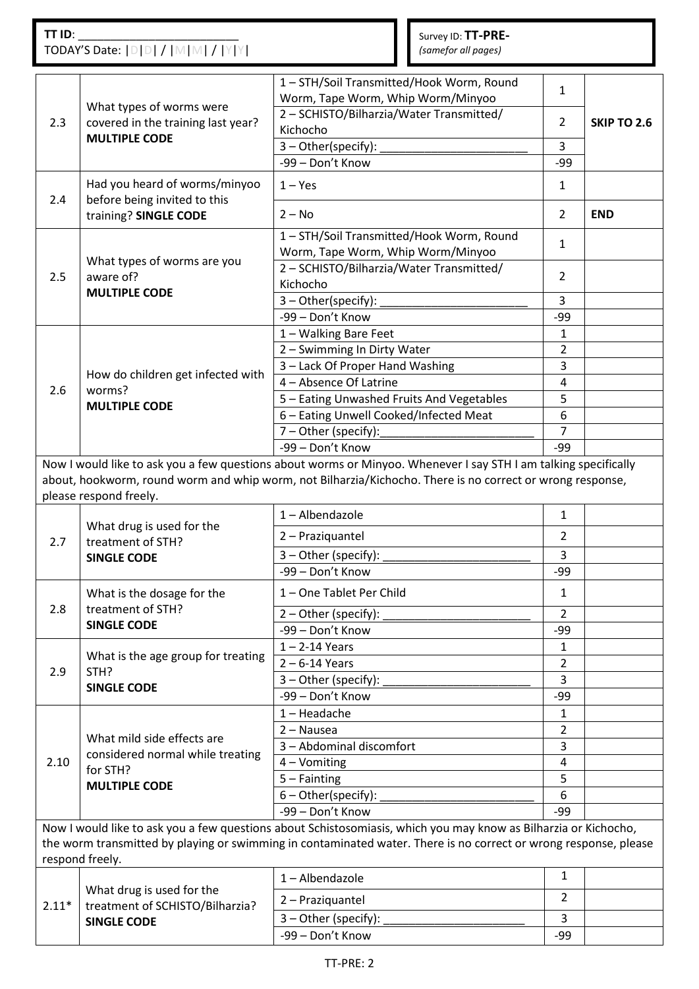## **TT ID**: \_\_\_\_\_\_\_\_\_\_\_\_\_\_\_\_\_\_\_\_\_\_\_\_\_ TODAY'S Date: |D|D| / |M|M| / |Y|Y|

Survey ID: **TT-PRE-** *(samefor all pages)* 

| 2.3     | What types of worms were<br>covered in the training last year?<br><b>MULTIPLE CODE</b> | 1-STH/Soil Transmitted/Hook Worm, Round<br>Worm, Tape Worm, Whip Worm/Minyoo<br>2 - SCHISTO/Bilharzia/Water Transmitted/<br>Kichocho<br>3-Other(specify):<br>-99 - Don't Know                                                       | $\mathbf{1}$<br>$\overline{2}$<br>3<br>-99 | <b>SKIP TO 2.6</b> |
|---------|----------------------------------------------------------------------------------------|-------------------------------------------------------------------------------------------------------------------------------------------------------------------------------------------------------------------------------------|--------------------------------------------|--------------------|
| 2.4     | Had you heard of worms/minyoo<br>before being invited to this                          | $1 - Yes$                                                                                                                                                                                                                           | $\mathbf{1}$                               |                    |
|         | training? SINGLE CODE                                                                  | $2 - No$                                                                                                                                                                                                                            | $\overline{2}$                             | <b>END</b>         |
| 2.5     | What types of worms are you<br>aware of?                                               | 1-STH/Soil Transmitted/Hook Worm, Round<br>Worm, Tape Worm, Whip Worm/Minyoo                                                                                                                                                        | 1                                          |                    |
|         |                                                                                        | 2 - SCHISTO/Bilharzia/Water Transmitted/<br>Kichocho                                                                                                                                                                                | $\overline{2}$                             |                    |
|         | <b>MULTIPLE CODE</b>                                                                   | 3-Other(specify):                                                                                                                                                                                                                   | 3                                          |                    |
|         |                                                                                        | -99 - Don't Know                                                                                                                                                                                                                    | $-99$                                      |                    |
|         |                                                                                        | 1 - Walking Bare Feet                                                                                                                                                                                                               | 1                                          |                    |
|         |                                                                                        | 2 - Swimming In Dirty Water                                                                                                                                                                                                         | $\overline{2}$                             |                    |
|         | How do children get infected with                                                      | 3 - Lack Of Proper Hand Washing                                                                                                                                                                                                     | 3                                          |                    |
| 2.6     | worms?                                                                                 | 4 - Absence Of Latrine                                                                                                                                                                                                              | 4                                          |                    |
|         | <b>MULTIPLE CODE</b>                                                                   | 5 - Eating Unwashed Fruits And Vegetables                                                                                                                                                                                           | 5                                          |                    |
|         |                                                                                        | 6 - Eating Unwell Cooked/Infected Meat                                                                                                                                                                                              | 6                                          |                    |
|         |                                                                                        | 7 - Other (specify):                                                                                                                                                                                                                | $\overline{7}$                             |                    |
|         |                                                                                        | -99 - Don't Know                                                                                                                                                                                                                    | -99                                        |                    |
|         | please respond freely.                                                                 | Now I would like to ask you a few questions about worms or Minyoo. Whenever I say STH I am talking specifically<br>about, hookworm, round worm and whip worm, not Bilharzia/Kichocho. There is no correct or wrong response,        |                                            |                    |
|         | What drug is used for the                                                              | $1 -$ Albendazole                                                                                                                                                                                                                   | $\mathbf{1}$                               |                    |
| 2.7     | treatment of STH?                                                                      | 2 - Praziquantel                                                                                                                                                                                                                    | 2                                          |                    |
|         | <b>SINGLE CODE</b>                                                                     | 3 - Other (specify):                                                                                                                                                                                                                | 3                                          |                    |
|         |                                                                                        | -99 - Don't Know                                                                                                                                                                                                                    | -99                                        |                    |
|         | What is the dosage for the                                                             | 1-One Tablet Per Child                                                                                                                                                                                                              | $\mathbf{1}$                               |                    |
| 2.8     | treatment of STH?                                                                      | $2 - Other (specific):$                                                                                                                                                                                                             | $\overline{2}$                             |                    |
|         | <b>SINGLE CODE</b>                                                                     | -99 - Don't Know                                                                                                                                                                                                                    | -99                                        |                    |
|         | What is the age group for treating                                                     | $1 - 2 - 14$ Years                                                                                                                                                                                                                  | 1                                          |                    |
| 2.9     | STH?                                                                                   | $2 - 6 - 14$ Years                                                                                                                                                                                                                  | $\overline{2}$                             |                    |
|         | <b>SINGLE CODE</b>                                                                     | 3 - Other (specify):                                                                                                                                                                                                                | 3                                          |                    |
|         |                                                                                        | -99 - Don't Know                                                                                                                                                                                                                    | -99                                        |                    |
|         |                                                                                        | $1 -$ Headache                                                                                                                                                                                                                      | 1                                          |                    |
|         | What mild side effects are                                                             | $2 - Na$ usea                                                                                                                                                                                                                       | $\overline{2}$                             |                    |
|         | considered normal while treating<br>for STH?<br><b>MULTIPLE CODE</b>                   | 3 - Abdominal discomfort                                                                                                                                                                                                            | 3                                          |                    |
| 2.10    |                                                                                        | 4 - Vomiting                                                                                                                                                                                                                        | 4                                          |                    |
|         |                                                                                        | $5 - Fainting$                                                                                                                                                                                                                      | 5                                          |                    |
|         |                                                                                        | $6 - Other(specify)$ :                                                                                                                                                                                                              | 6                                          |                    |
|         |                                                                                        | -99 - Don't Know                                                                                                                                                                                                                    | -99                                        |                    |
|         | respond freely.                                                                        | Now I would like to ask you a few questions about Schistosomiasis, which you may know as Bilharzia or Kichocho,<br>the worm transmitted by playing or swimming in contaminated water. There is no correct or wrong response, please |                                            |                    |
|         |                                                                                        | 1-Albendazole                                                                                                                                                                                                                       | $\mathbf{1}$                               |                    |
| $2.11*$ | What drug is used for the<br>treatment of SCHISTO/Bilharzia?                           | 2 - Praziquantel                                                                                                                                                                                                                    | $\overline{2}$                             |                    |
|         | <b>SINGLE CODE</b>                                                                     | 3 - Other (specify):                                                                                                                                                                                                                | 3                                          |                    |
|         |                                                                                        | -99 - Don't Know                                                                                                                                                                                                                    | $-99$                                      |                    |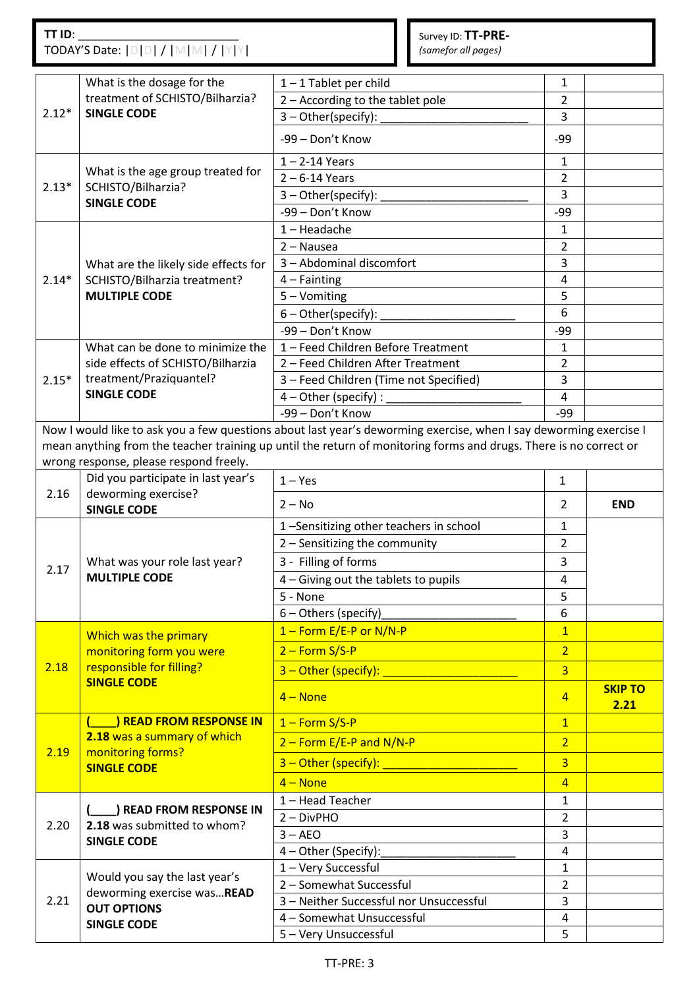### **TT ID**: \_\_\_\_\_\_\_\_\_\_\_\_\_\_\_\_\_\_\_\_\_\_\_\_\_ TODAY'S Date: |D|D| / |M|M| / |Y|Y|

Survey ID: **TT-PRE-** *(samefor all pages)* 

|         | What is the dosage for the                                                                              | $1 - 1$ Tablet per child                                                                                          | 1              |                |
|---------|---------------------------------------------------------------------------------------------------------|-------------------------------------------------------------------------------------------------------------------|----------------|----------------|
| $2.12*$ | treatment of SCHISTO/Bilharzia?<br><b>SINGLE CODE</b>                                                   | 2 - According to the tablet pole                                                                                  | $\overline{2}$ |                |
|         |                                                                                                         | $3 - Other(specify)$ :                                                                                            | 3              |                |
|         |                                                                                                         | -99 - Don't Know                                                                                                  | -99            |                |
| $2.13*$ | What is the age group treated for<br>SCHISTO/Bilharzia?<br><b>SINGLE CODE</b>                           | $1 - 2 - 14$ Years                                                                                                | $\mathbf{1}$   |                |
|         |                                                                                                         | $2 - 6 - 14$ Years                                                                                                | $\overline{2}$ |                |
|         |                                                                                                         | $3$ – Other(specify):                                                                                             | 3              |                |
|         |                                                                                                         | -99 - Don't Know                                                                                                  | -99            |                |
|         | What are the likely side effects for<br>SCHISTO/Bilharzia treatment?                                    | $1 -$ Headache                                                                                                    | 1              |                |
|         |                                                                                                         | $2 - Na$ usea                                                                                                     | $\overline{2}$ |                |
|         |                                                                                                         | 3 - Abdominal discomfort                                                                                          | 3              |                |
| $2.14*$ |                                                                                                         | $4 - Fainting$                                                                                                    | 4              |                |
|         | <b>MULTIPLE CODE</b>                                                                                    | 5 - Vomiting                                                                                                      | 5              |                |
|         |                                                                                                         | $6$ – Other(specify): $\overline{\phantom{a}}$                                                                    | 6              |                |
|         |                                                                                                         | -99 - Don't Know                                                                                                  | -99            |                |
|         | What can be done to minimize the                                                                        | 1 - Feed Children Before Treatment                                                                                | 1              |                |
|         | side effects of SCHISTO/Bilharzia                                                                       | 2 - Feed Children After Treatment                                                                                 | $\overline{2}$ |                |
| $2.15*$ | treatment/Praziquantel?                                                                                 | 3 - Feed Children (Time not Specified)                                                                            | 3              |                |
|         | <b>SINGLE CODE</b>                                                                                      | $4 - Other (specific)$ :                                                                                          | 4              |                |
|         |                                                                                                         | -99 - Don't Know                                                                                                  | -99            |                |
|         |                                                                                                         | Now I would like to ask you a few questions about last year's deworming exercise, when I say deworming exercise I |                |                |
|         |                                                                                                         | mean anything from the teacher training up until the return of monitoring forms and drugs. There is no correct or |                |                |
|         | wrong response, please respond freely.                                                                  |                                                                                                                   |                |                |
| 2.16    | Did you participate in last year's                                                                      | $1 - Yes$                                                                                                         | $\mathbf{1}$   |                |
|         | deworming exercise?<br><b>SINGLE CODE</b>                                                               | $2 - No$                                                                                                          | 2              | <b>END</b>     |
|         | What was your role last year?                                                                           | 1-Sensitizing other teachers in school                                                                            | 1              |                |
|         |                                                                                                         | 2 - Sensitizing the community                                                                                     | $\overline{2}$ |                |
|         |                                                                                                         | 3 - Filling of forms                                                                                              | 3              |                |
| 2.17    | <b>MULTIPLE CODE</b>                                                                                    | 4 - Giving out the tablets to pupils                                                                              | 4              |                |
|         |                                                                                                         | 5 - None                                                                                                          | 5              |                |
|         |                                                                                                         | 6 - Others (specify)                                                                                              | 6              |                |
|         |                                                                                                         | $1 -$ Form E/E-P or N/N-P                                                                                         | $\overline{1}$ |                |
|         | Which was the primary<br>monitoring form you were<br>responsible for filling?<br><b>SINGLE CODE</b>     | $2 - Form S/S-P$                                                                                                  | $\overline{2}$ |                |
| 2.18    |                                                                                                         | $3$ – Other (specify):                                                                                            | $\overline{3}$ |                |
|         |                                                                                                         |                                                                                                                   |                | <b>SKIP TO</b> |
|         |                                                                                                         | $4 - None$                                                                                                        | $\overline{4}$ | 2.21           |
|         | <b>I READ FROM RESPONSE IN</b><br>2.18 was a summary of which                                           | $1 -$ Form S/S-P                                                                                                  | $\mathbf{1}$   |                |
|         |                                                                                                         | $2 -$ Form E/E-P and N/N-P                                                                                        | $\overline{2}$ |                |
| 2.19    | monitoring forms?<br><b>SINGLE CODE</b>                                                                 | 3 - Other (specify):                                                                                              | $\overline{3}$ |                |
|         |                                                                                                         | $4 - None$                                                                                                        | $\overline{4}$ |                |
|         |                                                                                                         | 1-Head Teacher                                                                                                    | $\mathbf{1}$   |                |
|         | ) READ FROM RESPONSE IN<br>2.18 was submitted to whom?<br><b>SINGLE CODE</b>                            | $2 - DivPHO$                                                                                                      | $\overline{2}$ |                |
| 2.20    |                                                                                                         | $3 - AEO$                                                                                                         | $\overline{3}$ |                |
|         |                                                                                                         | 4 - Other (Specify):                                                                                              | $\overline{4}$ |                |
|         | Would you say the last year's<br>deworming exercise wasREAD<br><b>OUT OPTIONS</b><br><b>SINGLE CODE</b> | 1 - Very Successful                                                                                               | $\mathbf{1}$   |                |
|         |                                                                                                         | 2 - Somewhat Successful                                                                                           | $\overline{2}$ |                |
| 2.21    |                                                                                                         | 3 - Neither Successful nor Unsuccessful                                                                           | $\overline{3}$ |                |
|         |                                                                                                         | 4 - Somewhat Unsuccessful                                                                                         | $\overline{4}$ |                |
|         |                                                                                                         | 5 - Very Unsuccessful                                                                                             | 5              |                |